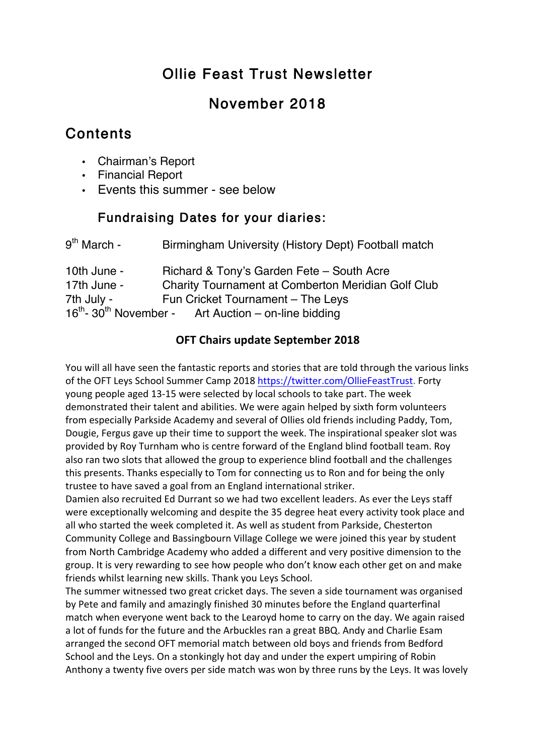# Ollie Feast Trust Newsletter

## November 2018

## Contents

- Chairman's Report
- Financial Report
- Events this summer see below

## Fundraising Dates for your diaries:

| 9 <sup>th</sup> March - | Birmingham University (History Dept) Football match                         |
|-------------------------|-----------------------------------------------------------------------------|
| 10th June -             | Richard & Tony's Garden Fete - South Acre                                   |
| 17th June -             | <b>Charity Tournament at Comberton Meridian Golf Club</b>                   |
| 7th July -              | Fun Cricket Tournament - The Leys                                           |
|                         | 16 <sup>th</sup> -30 <sup>th</sup> November - Art Auction – on-line bidding |

### **OFT Chairs update September 2018**

You will all have seen the fantastic reports and stories that are told through the various links of the OFT Leys School Summer Camp 2018 https://twitter.com/OllieFeastTrust. Forty young people aged 13-15 were selected by local schools to take part. The week demonstrated their talent and abilities. We were again helped by sixth form volunteers from especially Parkside Academy and several of Ollies old friends including Paddy, Tom, Dougie, Fergus gave up their time to support the week. The inspirational speaker slot was provided by Roy Turnham who is centre forward of the England blind football team. Roy also ran two slots that allowed the group to experience blind football and the challenges this presents. Thanks especially to Tom for connecting us to Ron and for being the only trustee to have saved a goal from an England international striker.

Damien also recruited Ed Durrant so we had two excellent leaders. As ever the Leys staff were exceptionally welcoming and despite the 35 degree heat every activity took place and all who started the week completed it. As well as student from Parkside, Chesterton Community College and Bassingbourn Village College we were joined this year by student from North Cambridge Academy who added a different and very positive dimension to the group. It is very rewarding to see how people who don't know each other get on and make friends whilst learning new skills. Thank you Leys School.

The summer witnessed two great cricket days. The seven a side tournament was organised by Pete and family and amazingly finished 30 minutes before the England quarterfinal match when everyone went back to the Learoyd home to carry on the day. We again raised a lot of funds for the future and the Arbuckles ran a great BBQ. Andy and Charlie Esam arranged the second OFT memorial match between old boys and friends from Bedford School and the Leys. On a stonkingly hot day and under the expert umpiring of Robin Anthony a twenty five overs per side match was won by three runs by the Leys. It was lovely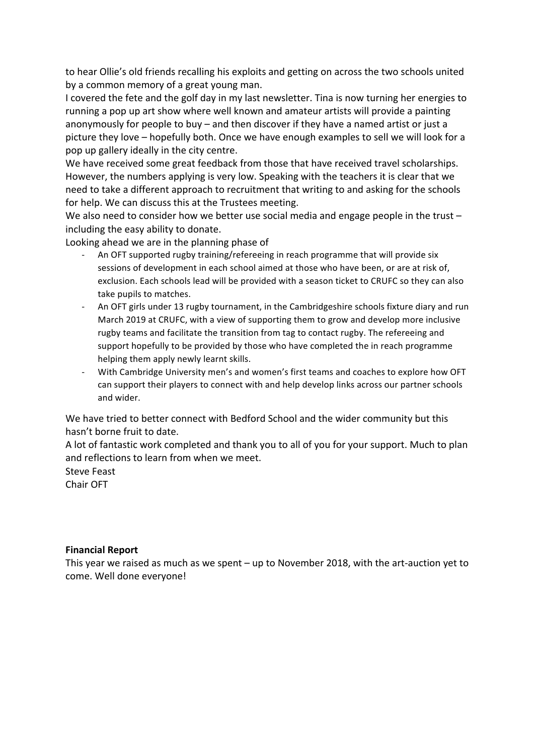to hear Ollie's old friends recalling his exploits and getting on across the two schools united by a common memory of a great young man.

I covered the fete and the golf day in my last newsletter. Tina is now turning her energies to running a pop up art show where well known and amateur artists will provide a painting anonymously for people to buy – and then discover if they have a named artist or just a picture they love – hopefully both. Once we have enough examples to sell we will look for a pop up gallery ideally in the city centre.

We have received some great feedback from those that have received travel scholarships. However, the numbers applying is very low. Speaking with the teachers it is clear that we need to take a different approach to recruitment that writing to and asking for the schools for help. We can discuss this at the Trustees meeting.

We also need to consider how we better use social media and engage people in the trust  $$ including the easy ability to donate.

Looking ahead we are in the planning phase of

- An OFT supported rugby training/refereeing in reach programme that will provide six sessions of development in each school aimed at those who have been, or are at risk of, exclusion. Each schools lead will be provided with a season ticket to CRUFC so they can also take pupils to matches.
- An OFT girls under 13 rugby tournament, in the Cambridgeshire schools fixture diary and run March 2019 at CRUFC, with a view of supporting them to grow and develop more inclusive rugby teams and facilitate the transition from tag to contact rugby. The refereeing and support hopefully to be provided by those who have completed the in reach programme helping them apply newly learnt skills.
- With Cambridge University men's and women's first teams and coaches to explore how OFT can support their players to connect with and help develop links across our partner schools and wider.

We have tried to better connect with Bedford School and the wider community but this hasn't borne fruit to date.

A lot of fantastic work completed and thank you to all of you for your support. Much to plan and reflections to learn from when we meet.

Steve Feast

Chair OFT

#### **Financial Report**

This year we raised as much as we spent  $-$  up to November 2018, with the art-auction yet to come. Well done everyone!